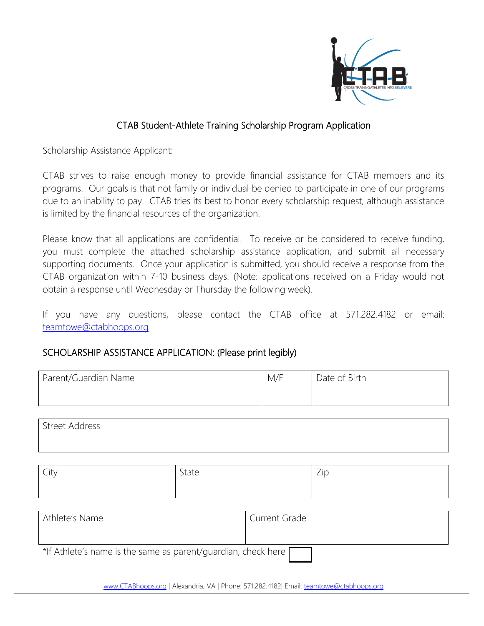

### CTAB Student-Athlete Training Scholarship Program Application

Scholarship Assistance Applicant:

CTAB strives to raise enough money to provide financial assistance for CTAB members and its programs. Our goals is that not family or individual be denied to participate in one of our programs due to an inability to pay. CTAB tries its best to honor every scholarship request, although assistance is limited by the financial resources of the organization.

Please know that all applications are confidential. To receive or be considered to receive funding, you must complete the attached scholarship assistance application, and submit all necessary supporting documents. Once your application is submitted, you should receive a response from the CTAB organization within 7-10 business days. (Note: applications received on a Friday would not obtain a response until Wednesday or Thursday the following week).

If you have any questions, please contact the CTAB office at 571.282.4182 or email: [teamtowe@ctabhoops.org](mailto:teamtowe@ctabhoops.org)

#### SCHOLARSHIP ASSISTANCE APPLICATION: (Please print legibly)

| Parent/Guardian Name | M/F | Date of Birth |
|----------------------|-----|---------------|
|                      |     |               |

| Street Address |  |  |
|----------------|--|--|
|                |  |  |

| $\sqrt{ }$<br><b>City</b> | $\overline{\phantom{0}}$<br>olale | $\overline{\phantom{0}}$<br><u>_</u> |
|---------------------------|-----------------------------------|--------------------------------------|
|                           |                                   |                                      |

| Athlete's Name                                                         | Current Grade |
|------------------------------------------------------------------------|---------------|
|                                                                        |               |
| *If Athlete's name is the same as parent/guardian, check here $\Gamma$ |               |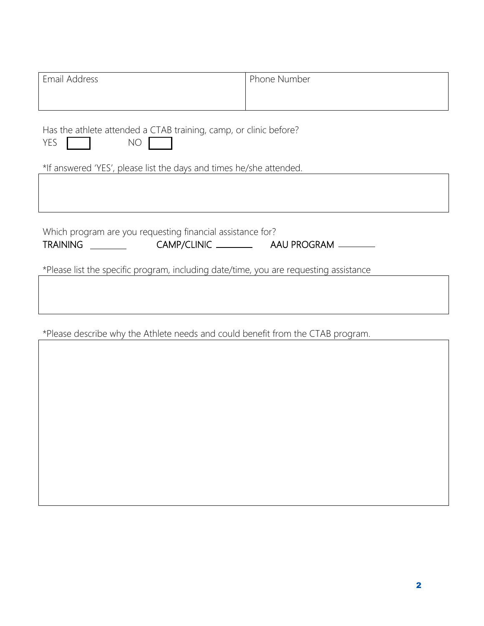| Email Address                                                                                                                                                | Phone Number |  |
|--------------------------------------------------------------------------------------------------------------------------------------------------------------|--------------|--|
| Has the athlete attended a CTAB training, camp, or clinic before?<br>YES<br><b>NO</b><br>*If answered 'YES', please list the days and times he/she attended. |              |  |
|                                                                                                                                                              |              |  |
| Which program are you requesting financial assistance for?<br>*Please list the specific program, including date/time, you are requesting assistance          |              |  |
|                                                                                                                                                              |              |  |

\*Please describe why the Athlete needs and could benefit from the CTAB program.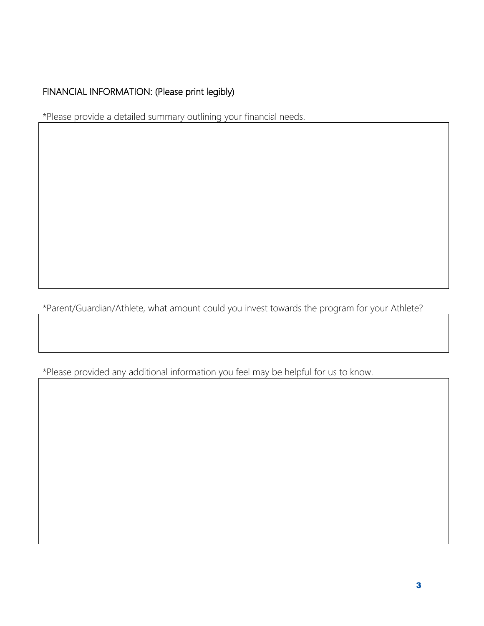# FINANCIAL INFORMATION: (Please print legibly)

\*Please provide a detailed summary outlining your financial needs.

\*Parent/Guardian/Athlete, what amount could you invest towards the program for your Athlete?

\*Please provided any additional information you feel may be helpful for us to know.